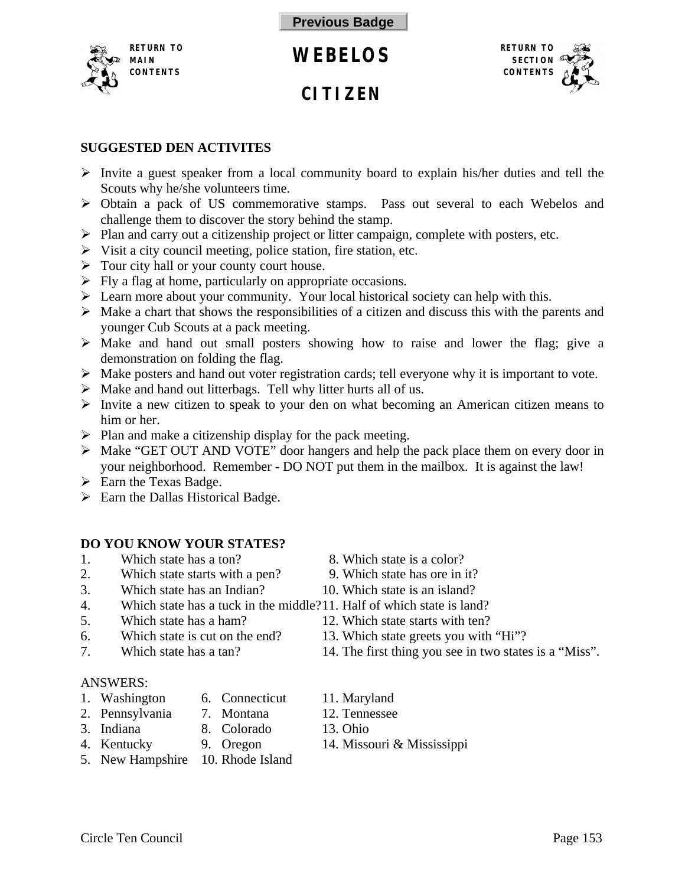<span id="page-0-0"></span>

# **CITIZEN**



## **SUGGESTED DEN ACTIVITES**

- $\triangleright$  Invite a guest speaker from a local community board to explain his/her duties and tell the Scouts why he/she volunteers time.
- ÿ Obtain a pack of US commemorative stamps. Pass out several to each Webelos and challenge them to discover the story behind the stamp.
- $\triangleright$  Plan and carry out a citizenship project or litter campaign, complete with posters, etc.
- $\triangleright$  Visit a city council meeting, police station, fire station, etc.
- $\triangleright$  Tour city hall or your county court house.
- $\triangleright$  Fly a flag at home, particularly on appropriate occasions.
- $\triangleright$  Learn more about your community. Your local historical society can help with this.
- $\triangleright$  Make a chart that shows the responsibilities of a citizen and discuss this with the parents and younger Cub Scouts at a pack meeting.
- $\triangleright$  Make and hand out small posters showing how to raise and lower the flag; give a demonstration on folding the flag.
- $\triangleright$  Make posters and hand out voter registration cards; tell everyone why it is important to vote.
- $\triangleright$  Make and hand out litterbags. Tell why litter hurts all of us.
- $\triangleright$  Invite a new citizen to speak to your den on what becoming an American citizen means to him or her.
- $\triangleright$  Plan and make a citizenship display for the pack meeting.
- ÿ Make "GET OUT AND VOTE" door hangers and help the pack place them on every door in your neighborhood. Remember - DO NOT put them in the mailbox. It is against the law!
- $\triangleright$  Earn the Texas Badge.
- $\triangleright$  Earn the Dallas Historical Badge.

# **DO YOU KNOW YOUR STATES?**

- 1. Which state has a ton? 8. Which state is a color?
- 2. Which state starts with a pen? 9. Which state has ore in it?
- 3. Which state has an Indian? 10. Which state is an island?
- 4. Which state has a tuck in the middle?11. Half of which state is land?
- 5. Which state has a ham? 12. Which state starts with ten?
- 
- 

# ANSWERS:

- 1. Washington 6. Connecticut 11. Maryland
	-
- 
- 
- -
- 5. New Hampshire 10. Rhode Island
- 
- 
- 
- 
- 
- 6. Which state is cut on the end? 13. Which state greets you with "Hi"?
- 7. Which state has a tan? 14. The first thing you see in two states is a "Miss".
	-
- 2. Pennsylvania 7. Montana 12. Tennessee
- 3. Indiana 8. Colorado 13. Ohio
- 4. Kentucky 9. Oregon 14. Missouri & Mississippi
- 
-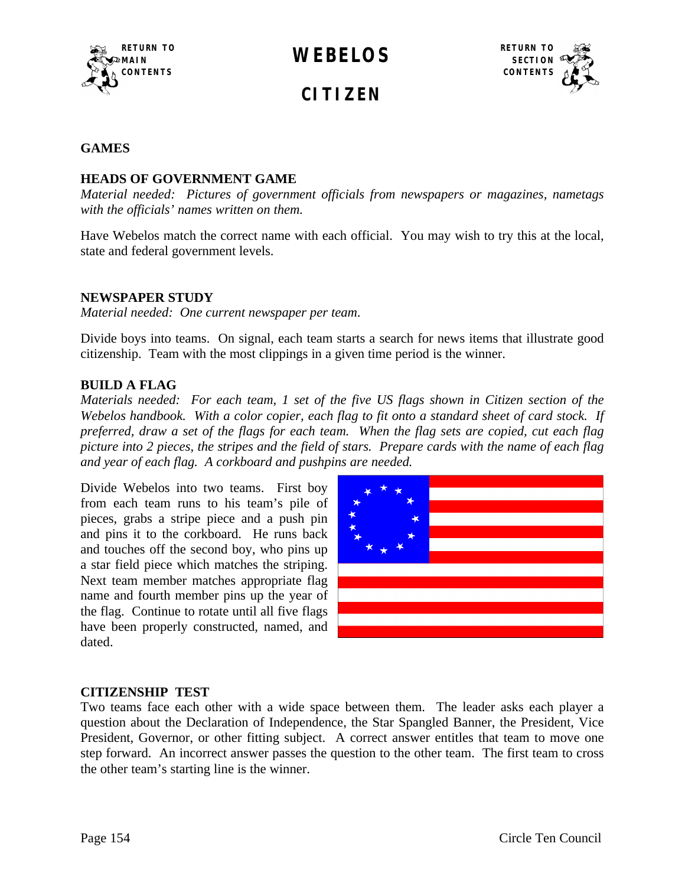<span id="page-1-0"></span>





### **GAMES**

### **HEADS OF GOVERNMENT GAME**

*Material needed: Pictures of government officials from newspapers or magazines, nametags with the officials' names written on them.*

Have Webelos match the correct name with each official. You may wish to try this at the local, state and federal government levels.

#### **NEWSPAPER STUDY**

*Material needed: One current newspaper per team*.

Divide boys into teams. On signal, each team starts a search for news items that illustrate good citizenship. Team with the most clippings in a given time period is the winner.

#### **BUILD A FLAG**

*Materials needed: For each team, 1 set of the five US flags shown in Citizen section of the Webelos handbook. With a color copier, each flag to fit onto a standard sheet of card stock. If preferred, draw a set of the flags for each team. When the flag sets are copied, cut each flag picture into 2 pieces, the stripes and the field of stars. Prepare cards with the name of each flag and year of each flag. A corkboard and pushpins are needed.*

Divide Webelos into two teams. First boy from each team runs to his team's pile of pieces, grabs a stripe piece and a push pin and pins it to the corkboard. He runs back and touches off the second boy, who pins up a star field piece which matches the striping. Next team member matches appropriate flag name and fourth member pins up the year of the flag. Continue to rotate until all five flags have been properly constructed, named, and dated.



#### **CITIZENSHIP TEST**

Two teams face each other with a wide space between them. The leader asks each player a question about the Declaration of Independence, the Star Spangled Banner, the President, Vice President, Governor, or other fitting subject. A correct answer entitles that team to move one step forward. An incorrect answer passes the question to the other team. The first team to cross the other team's starting line is the winner.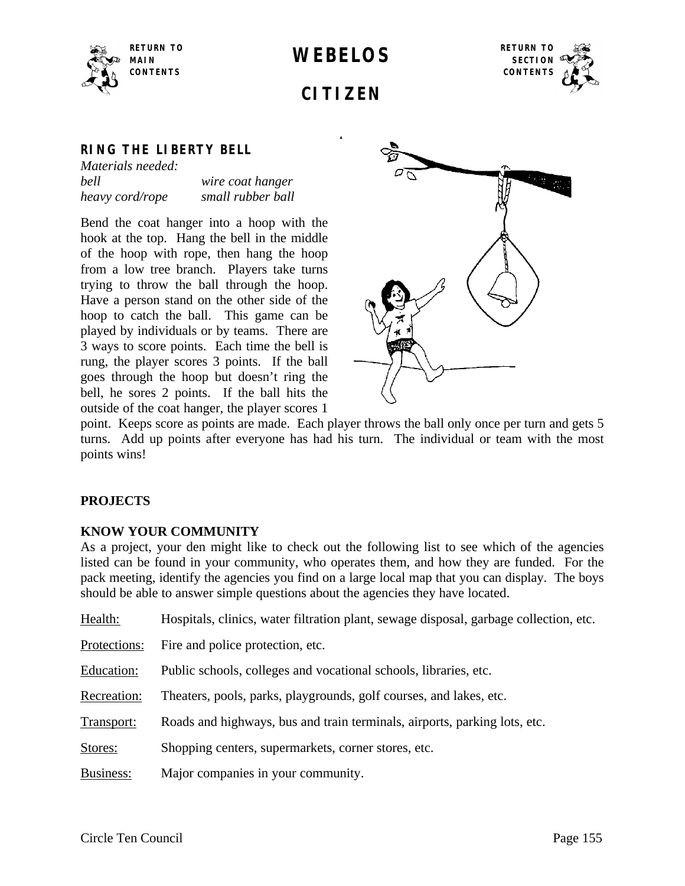



# **CITIZEN**

## **RING THE LIBERTY BELL**

| Materials needed: |                   |
|-------------------|-------------------|
| bell              | wire coat hanger  |
| heavy cord/rope   | small rubber ball |

Bend the coat hanger into a hoop with the hook at the top. Hang the bell in the middle of the hoop with rope, then hang the hoop from a low tree branch. Players take turns trying to throw the ball through the hoop. Have a person stand on the other side of the hoop to catch the ball. This game can be played by individuals or by teams. There are 3 ways to score points. Each time the bell is rung, the player scores 3 points. If the ball goes through the hoop but doesn't ring the bell, he sores 2 points. If the ball hits the outside of the coat hanger, the player scores 1



point. Keeps score as points are made. Each player throws the ball only once per turn and gets 5 turns. Add up points after everyone has had his turn. The individual or team with the most points wins!

## **PROJECTS**

#### **KNOW YOUR COMMUNITY**

As a project, your den might like to check out the following list to see which of the agencies listed can be found in your community, who operates them, and how they are funded. For the pack meeting, identify the agencies you find on a large local map that you can display. The boys should be able to answer simple questions about the agencies they have located.

| Health:      | Hospitals, clinics, water filtration plant, sewage disposal, garbage collection, etc. |
|--------------|---------------------------------------------------------------------------------------|
| Protections: | Fire and police protection, etc.                                                      |
| Education:   | Public schools, colleges and vocational schools, libraries, etc.                      |
| Recreation:  | Theaters, pools, parks, playgrounds, golf courses, and lakes, etc.                    |
| Transport:   | Roads and highways, bus and train terminals, airports, parking lots, etc.             |
| Stores:      | Shopping centers, supermarkets, corner stores, etc.                                   |
| Business:    | Major companies in your community.                                                    |